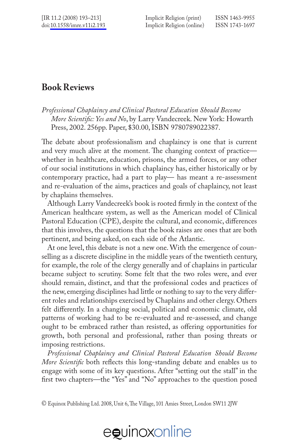*Professional Chaplaincy and Clinical Pastoral Education Should Become More Scientific: Yes and No*, by Larry Vandecreek. New York: Howarth Press, 2002. 256pp. Paper, \$30.00, ISBN 9780789022387.

The debate about professionalism and chaplaincy is one that is current and very much alive at the moment. The changing context of practice whether in healthcare, education, prisons, the armed forces, or any other of our social institutions in which chaplaincy has, either historically or by contemporary practice, had a part to play— has meant a re-assessment and re-evaluation of the aims, practices and goals of chaplaincy, not least by chaplains themselves.

Although Larry Vandecreek's book is rooted firmly in the context of the American healthcare system, as well as the American model of Clinical Pastoral Education (CPE), despite the cultural, and economic, differences that this involves, the questions that the book raises are ones that are both pertinent, and being asked, on each side of the Atlantic.

At one level, this debate is not a new one. With the emergence of counselling as a discrete discipline in the middle years of the twentieth century, for example, the role of the clergy generally and of chaplains in particular became subject to scrutiny. Some felt that the two roles were, and ever should remain, distinct, and that the professional codes and practices of the new, emerging disciplines had little or nothing to say to the very different roles and relationships exercised by Chaplains and other clergy. Others felt differently. In a changing social, political and economic climate, old patterns of working had to be re-evaluated and re-assessed, and change ought to be embraced rather than resisted, as offering opportunities for growth, both personal and professional, rather than posing threats or imposing restrictions.

*Professional Chaplaincy and Clinical Pastoral Education Should Become More Scientific* both reflects this long-standing debate and enables us to engage with some of its key questions. After "setting out the stall" in the first two chapters—the "Yes" and "No" approaches to the question posed

<sup>©</sup> Equinox Publishing Ltd. 2008, Unit 6, The Village, 101 Amies Street, London SW11 2JW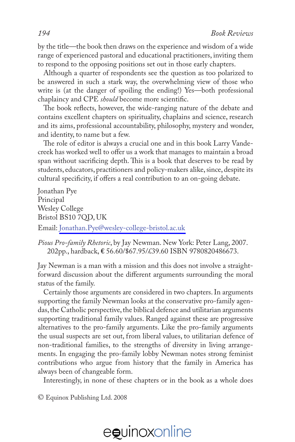by the title—the book then draws on the experience and wisdom of a wide range of experienced pastoral and educational practitioners, inviting them to respond to the opposing positions set out in those early chapters.

Although a quarter of respondents see the question as too polarized to be answered in such a stark way, the overwhelming view of those who write is (at the danger of spoiling the ending!) Yes—both professional chaplaincy and CPE *should* become more scientific.

The book reflects, however, the wide-ranging nature of the debate and contains excellent chapters on spirituality, chaplains and science, research and its aims, professional accountability, philosophy, mystery and wonder, and identity, to name but a few.

The role of editor is always a crucial one and in this book Larry Vandecreek has worked well to offer us a work that manages to maintain a broad span without sacrificing depth. This is a book that deserves to be read by students, educators, practitioners and policy-makers alike, since, despite its cultural specificity, if offers a real contribution to an on-going debate.

Jonathan Pye Principal Wesley College Bristol BS10 7QD, UK Email: [Jonathan.Pye@wesley-college-bristol.ac.uk](mailto:Jonathan.Pye@wesley-college-bristol.ac.uk)

*Pious Pro-family Rhetoric*, by Jay Newman. New York: Peter Lang, 2007. 202pp., hardback, **€** 56.60/\$67.95/£39.60 ISBN 9780820486673.

Jay Newman is a man with a mission and this does not involve a straightforward discussion about the different arguments surrounding the moral status of the family.

Certainly those arguments are considered in two chapters. In arguments supporting the family Newman looks at the conservative pro-family agendas, the Catholic perspective, the biblical defence and utilitarian arguments supporting traditional family values. Ranged against these are progressive alternatives to the pro-family arguments. Like the pro-family arguments the usual suspects are set out, from liberal values, to utilitarian defence of non-traditional families, to the strengths of diversity in living arrangements. In engaging the pro-family lobby Newman notes strong feminist contributions who argue from history that the family in America has always been of changeable form.

Interestingly, in none of these chapters or in the book as a whole does

© Equinox Publishing Ltd. 2008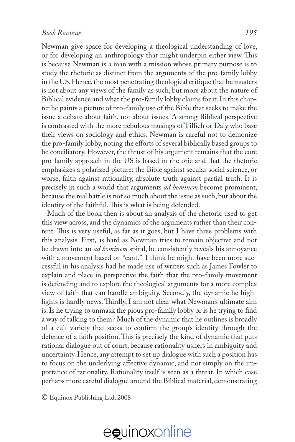Newman give space for developing a theological understanding of love, or for developing an anthropology that might underpin either view. This is because Newman is a man with a mission whose primary purpose is to study the rhetoric as distinct from the arguments of the pro-family lobby in the US. Hence, the most penetrating theological critique that he musters is not about any views of the family as such, but more about the nature of Biblical evidence and what the pro-family lobby claims for it. In this chapter he paints a picture of pro-family use of the Bible that seeks to make the issue a debate about faith, not about issues. A strong Biblical perspective is contrasted with the more nebulous musings of Tillich or Daly who base their views on sociology and ethics. Newman is careful not to demonize the pro-family lobby, noting the efforts of several biblically based groups to be conciliatory. However, the thrust of his argument remains that the core pro-family approach in the US is based in rhetoric and that the rhetoric emphasizes a polarized picture: the Bible against secular social science, or worse, faith against rationality, absolute truth against partial truth. It is precisely in such a world that arguments *ad hominem* become prominent, because the real battle is not so much about the issue as such, but about the identity of the faithful. This is what is being defended.

Much of the book then is about an analysis of the rhetoric used to get this view across, and the dynamics of the arguments rather than their content. This is very useful, as far as it goes, but I have three problems with this analysis. First, as hard as Newman tries to remain objective and not be drawn into an *ad hominem* spiral, he consistently reveals his annoyance with a movement based on "cant." I think he might have been more successful in his analysis had he made use of writers such as James Fowler to explain and place in perspective the faith that the pro-family movement is defending and to explore the theological arguments for a more complex view of faith that can handle ambiguity. Secondly, the dynamic he highlights is hardly news. Thirdly, I am not clear what Newman's ultimate aim is. Is he trying to unmask the pious pro-family lobby or is he trying to find a way of talking to them? Much of the dynamic that he outlines is broadly of a cult variety that seeks to confirm the group's identity through the defence of a faith position. This is precisely the kind of dynamic that puts rational dialogue out of court, because rationality ushers in ambiguity and uncertainty. Hence, any attempt to set up dialogue with such a position has to focus on the underlying affective dynamic, and not simply on the importance of rationality. Rationality itself is seen as a threat. In which case perhaps more careful dialogue around the Biblical material, demonstrating

© Equinox Publishing Ltd. 2008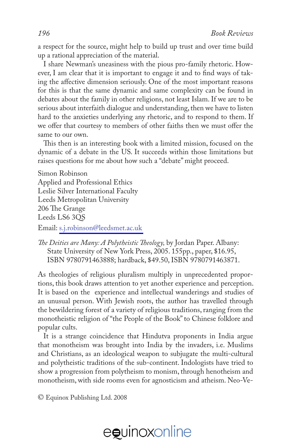a respect for the source, might help to build up trust and over time build up a rational appreciation of the material.

I share Newman's uneasiness with the pious pro-family rhetoric. However, I am clear that it is important to engage it and to find ways of taking the affective dimension seriously. One of the most important reasons for this is that the same dynamic and same complexity can be found in debates about the family in other religions, not least Islam. If we are to be serious about interfaith dialogue and understanding, then we have to listen hard to the anxieties underlying any rhetoric, and to respond to them. If we offer that courtesy to members of other faiths then we must offer the same to our own.

This then is an interesting book with a limited mission, focused on the dynamic of a debate in the US. It succeeds within those limitations but raises questions for me about how such a "debate" might proceed.

Simon Robinson Applied and Professional Ethics Leslie Silver International Faculty Leeds Metropolitan University 206 The Grange Leeds LS6 3QS Email: [s.j.robinson@leedsmet.ac.uk](mailto:s.j.robinson@leedsmet.ac.uk)

*The Deities are Many: A Polytheistic Theology,* by Jordan Paper. Albany: State University of New York Press, 2005. 155pp., paper, \$16.95, ISBN 9780791463888; hardback, \$49.50, ISBN 9780791463871.

As theologies of religious pluralism multiply in unprecedented proportions, this book draws attention to yet another experience and perception. It is based on the experience and intellectual wanderings and studies of an unusual person. With Jewish roots, the author has travelled through the bewildering forest of a variety of religious traditions, ranging from the monotheistic religion of "the People of the Book" to Chinese folklore and popular cults.

It is a strange coincidence that Hindutva proponents in India argue that monotheism was brought into India by the invaders, i.e. Muslims and Christians, as an ideological weapon to subjugate the multi-cultural and polytheistic traditions of the sub-continent. Indologists have tried to show a progression from polytheism to monism, through henotheism and monotheism, with side rooms even for agnosticism and atheism. Neo-Ve-

© Equinox Publishing Ltd. 2008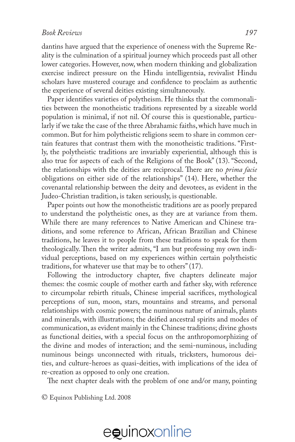dantins have argued that the experience of oneness with the Supreme Reality is the culmination of a spiritual journey which proceeds past all other lower categories. However, now, when modern thinking and globalization exercise indirect pressure on the Hindu intelligentsia, revivalist Hindu scholars have mustered courage and confidence to proclaim as authentic the experience of several deities existing simultaneously.

Paper identifies varieties of polytheism. He thinks that the commonalities between the monotheistic traditions represented by a sizeable world population is minimal, if not nil. Of course this is questionable, particularly if we take the case of the three Abrahamic faiths, which have much in common. But for him polytheistic religions seem to share in common certain features that contrast them with the monotheistic traditions. "Firstly, the polytheistic traditions are invariably experiential, although this is also true for aspects of each of the Religions of the Book" (13). "Second, the relationships with the deities are reciprocal. There are no *prima facie*  obligations on either side of the relationships" (14). Here, whether the covenantal relationship between the deity and devotees, as evident in the Judeo-Christian tradition, is taken seriously, is questionable.

Paper points out how the monotheistic traditions are as poorly prepared to understand the polytheistic ones, as they are at variance from them. While there are many references to Native American and Chinese traditions, and some reference to African, African Brazilian and Chinese traditions, he leaves it to people from these traditions to speak for them theologically. Then the writer admits, "I am but professing my own individual perceptions, based on my experiences within certain polytheistic traditions, for whatever use that may be to others" (17).

Following the introductory chapter, five chapters delineate major themes: the cosmic couple of mother earth and father sky, with reference to circumpolar rebirth rituals, Chinese imperial sacrifices, mythological perceptions of sun, moon, stars, mountains and streams, and personal relationships with cosmic powers; the numinous nature of animals, plants and minerals, with illustrations; the deified ancestral spirits and modes of communication, as evident mainly in the Chinese traditions; divine ghosts as functional deities, with a special focus on the anthropomorphizing of the divine and modes of interaction; and the semi-numinous, including numinous beings unconnected with rituals, tricksters, humorous deities, and culture-heroes as quasi-deities, with implications of the idea of re-creation as opposed to only one creation.

The next chapter deals with the problem of one and/or many, pointing

© Equinox Publishing Ltd. 2008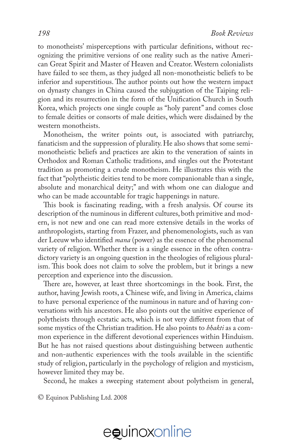to monotheists' misperceptions with particular definitions, without recognizing the primitive versions of one reality such as the native American Great Spirit and Master of Heaven and Creator. Western colonialists have failed to see them, as they judged all non-monotheistic beliefs to be inferior and superstitious. The author points out how the western impact on dynasty changes in China caused the subjugation of the Taiping religion and its resurrection in the form of the Unification Church in South Korea, which projects one single couple as "holy parent" and comes close to female deities or consorts of male deities, which were disdained by the western monotheists.

Monotheism, the writer points out, is associated with patriarchy, fanaticism and the suppression of plurality. He also shows that some semimonotheistic beliefs and practices are akin to the veneration of saints in Orthodox and Roman Catholic traditions, and singles out the Protestant tradition as promoting a crude monotheism. He illustrates this with the fact that "polytheistic deities tend to be more companionable than a single, absolute and monarchical deity;" and with whom one can dialogue and who can be made accountable for tragic happenings in nature.

This book is fascinating reading, with a fresh analysis. Of course its description of the numinous in different cultures, both primitive and modern, is not new and one can read more extensive details in the works of anthropologists, starting from Frazer, and phenomenologists, such as van der Leeuw who identified *mana* (power) as the essence of the phenomenal variety of religion. Whether there is a single essence in the often contradictory variety is an ongoing question in the theologies of religious pluralism. This book does not claim to solve the problem, but it brings a new perception and experience into the discussion.

There are, however, at least three shortcomings in the book. First, the author, having Jewish roots, a Chinese wife, and living in America, claims to have personal experience of the numinous in nature and of having conversations with his ancestors. He also points out the unitive experience of polytheists through ecstatic acts, which is not very different from that of some mystics of the Christian tradition. He also points to *bhakti* as a common experience in the different devotional experiences within Hinduism. But he has not raised questions about distinguishing between authentic and non-authentic experiences with the tools available in the scientific study of religion, particularly in the psychology of religion and mysticism, however limited they may be.

Second, he makes a sweeping statement about polytheism in general,

© Equinox Publishing Ltd. 2008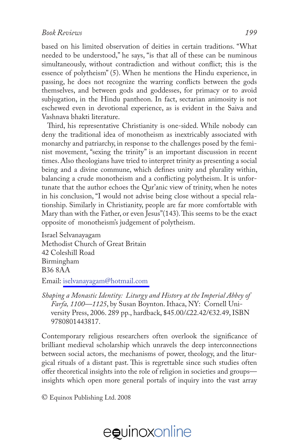based on his limited observation of deities in certain traditions. "What needed to be understood," he says, "is that all of these can be numinous simultaneously, without contradiction and without conflict; this is the essence of polytheism" (5). When he mentions the Hindu experience, in passing, he does not recognize the warring conflicts between the gods themselves, and between gods and goddesses, for primacy or to avoid subjugation, in the Hindu pantheon. In fact, sectarian animosity is not eschewed even in devotional experience, as is evident in the Saiva and Vashnava bhakti literature.

Third, his representative Christianity is one-sided. While nobody can deny the traditional idea of monotheism as inextricably associated with monarchy and patriarchy, in response to the challenges posed by the feminist movement, "sexing the trinity" is an important discussion in recent times. Also theologians have tried to interpret trinity as presenting a social being and a divine commune, which defines unity and plurality within, balancing a crude monotheism and a conflicting polytheism. It is unfortunate that the author echoes the Qur'anic view of trinity, when he notes in his conclusion, "I would not advise being close without a special relationship. Similarly in Christianity, people are far more comfortable with Mary than with the Father, or even Jesus"(143). This seems to be the exact opposite of monotheism's judgement of polytheism.

Israel Selvanayagam Methodist Church of Great Britain 42 Coleshill Road Birmingham B36 8AA

Email: [iselvanayagam@hotmail.com](mailto:iselvanayagam@hotmail.com)

*Shaping a Monastic Identity: Liturgy and History at the Imperial Abbey of Farfa, 1100—1125*, by Susan Boynton. Ithaca, NY: Cornell University Press, 2006. 289 pp., hardback, \$45.00/£22.42/€32.49, ISBN 9780801443817.

Contemporary religious researchers often overlook the significance of brilliant medieval scholarship which unravels the deep interconnections between social actors, the mechanisms of power, theology, and the liturgical rituals of a distant past. This is regrettable since such studies often offer theoretical insights into the role of religion in societies and groups insights which open more general portals of inquiry into the vast array

© Equinox Publishing Ltd. 2008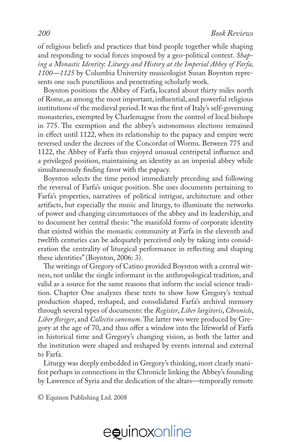of religious beliefs and practices that bind people together while shaping and responding to social forces imposed by a geo-political context. *Shaping a Monastic Identity*: *Liturgy and History at the Imperial Abbey of Farfa, 1100—1125* by Columbia University musicologist Susan Boynton represents one such punctilious and penetrating scholarly work.

Boynton positions the Abbey of Farfa, located about thirty miles north of Rome, as among the most important, influential, and powerful religious institutions of the medieval period. It was the first of Italy's self-governing monasteries, exempted by Charlemagne from the control of local bishops in 775. The exemption and the abbey's autonomous elections remained in effect until 1122, when its relationship to the papacy and empire were reversed under the decrees of the Concordat of Worms. Between 775 and 1122, the Abbey of Farfa thus enjoyed unusual centripetal influence and a privileged position, maintaining an identity as an imperial abbey while simultaneously finding favor with the papacy.

Boynton selects the time period immediately preceding and following the reversal of Farfa's unique position. She uses documents pertaining to Farfa's properties, narratives of political intrigue, architecture and other artifacts, but especially the music and liturgy, to illuminate the networks of power and changing circumstances of the abbey and its leadership, and to document her central thesis: "the manifold forms of corporate identity that existed within the monastic community at Farfa in the eleventh and twelfth centuries can be adequately perceived only by taking into consideration the centrality of liturgical performance in reflecting and shaping these identities" (Boynton, 2006: 3).

The writings of Gregory of Catino provided Boynton with a central witness, not unlike the single informant in the anthropological tradition, and valid as a source for the same reasons that inform the social science tradition. Chapter One analyzes these texts to show how Gregory's textual production shaped, reshaped, and consolidated Farfa's archival memory through several types of documents: the *Register*, *Liber largitoris*, *Chronicle*, *Liber floriger*, and *Collectio canonum*. The latter two were produced by Gregory at the age of 70, and thus offer a window into the lifeworld of Farfa in historical time and Gregory's changing vision, as both the latter and the institution were shaped and reshaped by events internal and external to Farfa.

Liturgy was deeply embedded in Gregory's thinking, most clearly manifest perhaps in connections in the Chronicle linking the Abbey's founding by Lawrence of Syria and the dedication of the altars—temporally remote

© Equinox Publishing Ltd. 2008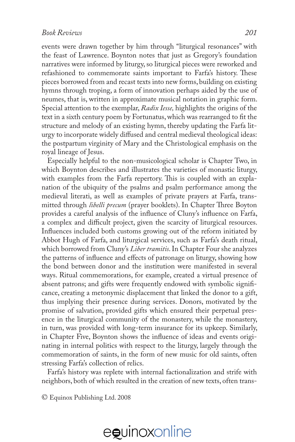events were drawn together by him through "liturgical resonances" with the feast of Lawrence. Boynton notes that just as Gregory's foundation narratives were informed by liturgy, so liturgical pieces were reworked and refashioned to commemorate saints important to Farfa's history. These pieces borrowed from and recast texts into new forms, building on existing hymns through troping, a form of innovation perhaps aided by the use of neumes, that is, written in approximate musical notation in graphic form. Special attention to the exemplar, *Radix Iesse,* highlights the origins of the text in a sixth century poem by Fortunatus, which was rearranged to fit the structure and melody of an existing hymn, thereby updating the Farfa liturgy to incorporate widely diffused and central medieval theological ideas: the postpartum virginity of Mary and the Christological emphasis on the royal lineage of Jesus.

Especially helpful to the non-musicological scholar is Chapter Two, in which Boynton describes and illustrates the varieties of monastic liturgy, with examples from the Farfa repertory. This is coupled with an explanation of the ubiquity of the psalms and psalm performance among the medieval literati, as well as examples of private prayers at Farfa, transmitted through *libelli precum* (prayer booklets). In Chapter Three Boyton provides a careful analysis of the influence of Cluny's influence on Farfa, a complex and difficult project, given the scarcity of liturgical resources. Influences included both customs growing out of the reform initiated by Abbot Hugh of Farfa, and liturgical services, such as Farfa's death ritual, which borrowed from Cluny's *Liber tramitis*. In Chapter Four she analyzes the patterns of influence and effects of patronage on liturgy, showing how the bond between donor and the institution were manifested in several ways. Ritual commemorations, for example, created a virtual presence of absent patrons; and gifts were frequently endowed with symbolic significance, creating a metonymic displacement that linked the donor to a gift, thus implying their presence during services. Donors, motivated by the promise of salvation, provided gifts which ensured their perpetual presence in the liturgical community of the monastery, while the monastery, in turn, was provided with long-term insurance for its upkeep. Similarly, in Chapter Five, Boynton shows the influence of ideas and events originating in internal politics with respect to the liturgy, largely through the commemoration of saints, in the form of new music for old saints, often stressing Farfa's collection of relics.

Farfa's history was replete with internal factionalization and strife with neighbors, both of which resulted in the creation of new texts, often trans-

© Equinox Publishing Ltd. 2008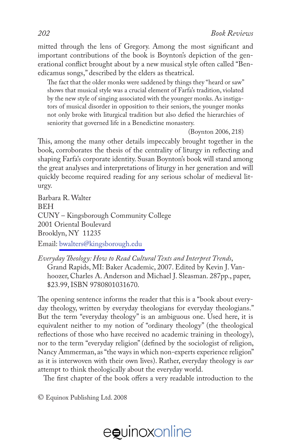mitted through the lens of Gregory. Among the most significant and important contributions of the book is Boynton's depiction of the generational conflict brought about by a new musical style often called "Benedicamus songs," described by the elders as theatrical.

The fact that the older monks were saddened by things they "heard or saw" shows that musical style was a crucial element of Farfa's tradition, violated by the new style of singing associated with the younger monks. As instigators of musical disorder in opposition to their seniors, the younger monks not only broke with liturgical tradition but also defied the hierarchies of seniority that governed life in a Benedictine monastery.

(Boynton 2006, 218)

This, among the many other details impeccably brought together in the book, corroborates the thesis of the centrality of liturgy in reflecting and shaping Farfa's corporate identity. Susan Boynton's book will stand among the great analyses and interpretations of liturgy in her generation and will quickly become required reading for any serious scholar of medieval liturgy.

Barbara R. Walter BEH CUNY – Kingsborough Community College 2001 Oriental Boulevard Brooklyn, NY 11235 Email: [bwalters@kingsborough.edu](mailto:bwalters@kingsborough.edu)

*Everyday Theology: How to Read Cultural Texts and Interpret Trends*, Grand Rapids, MI: Baker Academic, 2007. Edited by Kevin J. Vanhoozer, Charles A. Anderson and Michael J. Sleasman. 287pp., paper, \$23.99, ISBN 9780801031670.

The opening sentence informs the reader that this is a "book about everyday theology, written by everyday theologians for everyday theologians." But the term "everyday theology" is an ambiguous one. Used here, it is equivalent neither to my notion of "ordinary theology" (the theological reflections of those who have received no academic training in theology), nor to the term "everyday religion" (defined by the sociologist of religion, Nancy Ammerman, as "the ways in which non-experts experience religion" as it is interwoven with their own lives). Rather, everyday theology is *our* attempt to think theologically about the everyday world.

The first chapter of the book offers a very readable introduction to the

© Equinox Publishing Ltd. 2008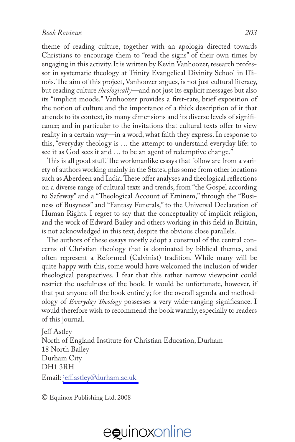theme of reading culture, together with an apologia directed towards Christians to encourage them to "read the signs" of their own times by engaging in this activity. It is written by Kevin Vanhoozer, research professor in systematic theology at Trinity Evangelical Divinity School in Illinois. The aim of this project, Vanhoozer argues, is not just cultural literacy, but reading culture *theologically—*and not just its explicit messages but also its "implicit moods." Vanhoozer provides a first-rate, brief exposition of the notion of culture and the importance of a thick description of it that attends to its context, its many dimensions and its diverse levels of significance; and in particular to the invitations that cultural texts offer to view reality in a certain way—in a word, what faith they express. In response to this, "everyday theology is … the attempt to understand everyday life: to see it as God sees it and … to be an agent of redemptive change."

This is all good stuff. The workmanlike essays that follow are from a variety of authors working mainly in the States, plus some from other locations such as Aberdeen and India. These offer analyses and theological reflections on a diverse range of cultural texts and trends, from "the Gospel according to Safeway" and a "Theological Account of Eminem," through the "Business of Busyness" and "Fantasy Funerals," to the Universal Declaration of Human Rights. I regret to say that the conceptuality of implicit religion, and the work of Edward Bailey and others working in this field in Britain, is not acknowledged in this text, despite the obvious close parallels.

The authors of these essays mostly adopt a construal of the central concerns of Christian theology that is dominated by biblical themes, and often represent a Reformed (Calvinist) tradition. While many will be quite happy with this, some would have welcomed the inclusion of wider theological perspectives. I fear that this rather narrow viewpoint could restrict the usefulness of the book. It would be unfortunate, however, if that put anyone off the book entirely; for the overall agenda and methodology of *Everyday Theology* possesses a very wide-ranging significance. I would therefore wish to recommend the book warmly, especially to readers of this journal.

Jeff Astley North of England Institute for Christian Education, Durham 18 North Bailey Durham City DH1 3RH

Email: [jeff.astley@durham.ac.uk](mailto:jeff.astley@durham.ac.uk)

© Equinox Publishing Ltd. 2008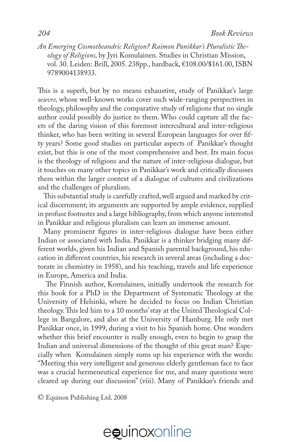*An Emerging Cosmotheandric Religion? Raimon Panikkar's Pluralistic Theology of Religions,* by Jyri Komulainen. Studies in Christian Mission, vol. 30. Leiden: Brill, 2005. 238pp., hardback, €108.00/\$161.00, ISBN 9789004138933.

This is a superb, but by no means exhaustive, study of Panikkar's large *oeuvre,* whose well-known works cover such wide-ranging perspectives in theology, philosophy and the comparative study of religions that no single author could possibly do justice to them. Who could capture all the facets of the daring vision of this foremost intercultural and inter-religious thinker, who has been writing in several European languages for over fifty years? Some good studies on particular aspects of Panikkar's thought exist, but this is one of the most comprehensive and best. Its main focus is the theology of religions and the nature of inter-religious dialogue, but it touches on many other topics in Panikkar's work and critically discusses them within the larger context of a dialogue of cultures and civilizations and the challenges of pluralism.

This substantial study is carefully crafted, well argued and marked by critical discernment; its arguments are supported by ample evidence, supplied in profuse footnotes and a large bibliography, from which anyone interested in Panikkar and religious pluralism can learn an immense amount.

Many prominent figures in inter-religious dialogue have been either Indian or associated with India. Panikkar is a thinker bridging many different worlds, given his Indian and Spanish parental background, his education in different countries, his research in several areas (including a doctorate in chemistry in 1958), and his teaching, travels and life experience in Europe, America and India.

 The Finnish author, Komulainen, initially undertook the research for this book for a PhD in the Department of Systematic Theology at the University of Helsinki, where he decided to focus on Indian Christian theology. This led him to a 10 months' stay at the United Theological College in Bangalore, and also at the University of Hamburg. He only met Panikkar once, in 1999, during a visit to his Spanish home. One wonders whether this brief encounter is really enough, even to begin to grasp the Indian and universal dimensions of the thought of this great man? Especially when Komulainen simply sums up his experience with the words: "Meeting this very intelligent and generous elderly gentleman face to face was a crucial hermeneutical experience for me, and many questions were cleared up during our discussion" (viii). Many of Panikkar's friends and

© Equinox Publishing Ltd. 2008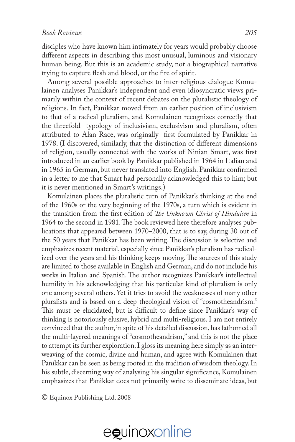disciples who have known him intimately for years would probably choose different aspects in describing this most unusual, luminous and visionary human being. But this is an academic study, not a biographical narrative trying to capture flesh and blood, or the fire of spirit.

Among several possible approaches to inter-religious dialogue Komulainen analyses Panikkar's independent and even idiosyncratic views primarily within the context of recent debates on the pluralistic theology of religions. In fact, Panikkar moved from an earlier position of inclusivism to that of a radical pluralism, and Komulainen recognizes correctly that the threefold typology of inclusivism, exclusivism and pluralism, often attributed to Alan Race, was originally first formulated by Panikkar in 1978. (I discovered, similarly, that the distinction of different dimensions of religion, usually connected with the works of Ninian Smart, was first introduced in an earlier book by Panikkar published in 1964 in Italian and in 1965 in German, but never translated into English. Panikkar confirmed in a letter to me that Smart had personally acknowledged this to him; but it is never mentioned in Smart's writings.)

Komulainen places the pluralistic turn of Panikkar's thinking at the end of the 1960s or the very beginning of the 1970s, a turn which is evident in the transition from the first edition of *The Unknown Christ of Hinduism* in 1964 to the second in 1981. The book reviewed here therefore analyses publications that appeared between 1970–2000, that is to say, during 30 out of the 50 years that Panikkar has been writing. The discussion is selective and emphasizes recent material, especially since Panikkar's pluralism has radicalized over the years and his thinking keeps moving. The sources of this study are limited to those available in English and German, and do not include his works in Italian and Spanish. The author recognizes Panikkar's intellectual humility in his acknowledging that his particular kind of pluralism is only one among several others. Yet it tries to avoid the weaknesses of many other pluralists and is based on a deep theological vision of "cosmotheandrism." This must be elucidated, but is difficult to define since Panikkar's way of thinking is notoriously elusive, hybrid and multi-religious. I am not entirely convinced that the author, in spite of his detailed discussion, has fathomed all the multi-layered meanings of "cosmotheandrism," and this is not the place to attempt its further exploration. I gloss its meaning here simply as an interweaving of the cosmic, divine and human, and agree with Komulainen that Panikkar can be seen as being rooted in the tradition of wisdom theology. In his subtle, discerning way of analysing his singular significance, Komulainen emphasizes that Panikkar does not primarily write to disseminate ideas, but

© Equinox Publishing Ltd. 2008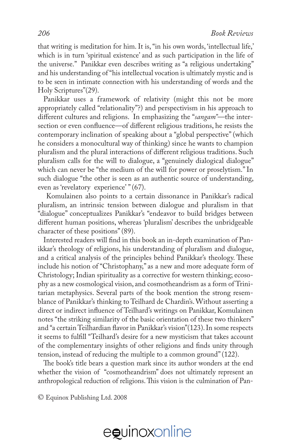that writing is meditation for him. It is, "in his own words, 'intellectual life,' which is in turn 'spiritual existence' and as such participation in the life of the universe." Panikkar even describes writing as "a religious undertaking" and his understanding of "his intellectual vocation is ultimately mystic and is to be seen in intimate connection with his understanding of words and the Holy Scriptures"(29).

Panikkar uses a framework of relativity (might this not be more appropriately called "relationality"?) and perspectivism in his approach to different cultures and religions. In emphasizing the "*sangam"*—the intersection or even confluence—of different religious traditions, he resists the contemporary inclination of speaking about a "global perspective" (which he considers a monocultural way of thinking) since he wants to champion pluralism and the plural interactions of different religious traditions. Such pluralism calls for the will to dialogue, a "genuinely dialogical dialogue" which can never be "the medium of the will for power or proselytism." In such dialogue "the other is seen as an authentic source of understanding, even as 'revelatory experience' " (67).

 Komulainen also points to a certain dissonance in Panikkar's radical pluralism, an intrinsic tension between dialogue and pluralism in that "dialogue" conceptualizes Panikkar's "endeavor to build bridges between different human positions, whereas 'pluralism' describes the unbridgeable character of these positions" (89).

Interested readers will find in this book an in-depth examination of Panikkar's theology of religions, his understanding of pluralism and dialogue, and a critical analysis of the principles behind Panikkar's theology. These include his notion of "Christophany," as a new and more adequate form of Christology; Indian spirituality as a corrective for western thinking; ecosophy as a new cosmological vision, and cosmotheandrism as a form of Trinitarian metaphysics. Several parts of the book mention the strong resemblance of Panikkar's thinking to Teilhard de Chardin's. Without asserting a direct or indirect influence of Teilhard's writings on Panikkar, Komulainen notes "the striking similarity of the basic orientation of these two thinkers" and "a certain Teilhardian flavor in Panikkar's vision"(123). In some respects it seems to fulfill "Teilhard's desire for a new mysticism that takes account of the complementary insights of other religions and finds unity through tension, instead of reducing the multiple to a common ground" (122).

The book's title bears a question mark since its author wonders at the end whether the vision of "cosmotheandrism" does not ultimately represent an anthropological reduction of religions. This vision is the culmination of Pan-

© Equinox Publishing Ltd. 2008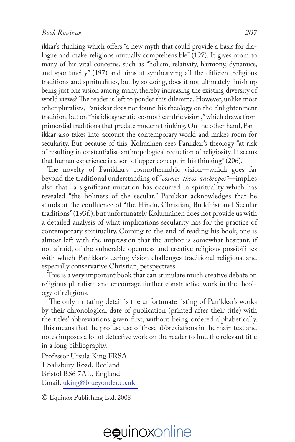ikkar's thinking which offers "a new myth that could provide a basis for dialogue and make religions mutually comprehensible" (197). It gives room to many of his vital concerns, such as "holism, relativity, harmony, dynamics, and spontaneity" (197) and aims at synthesizing all the different religious traditions and spiritualities, but by so doing, does it not ultimately finish up being just one vision among many, thereby increasing the existing diversity of world views? The reader is left to ponder this dilemma. However, unlike most other pluralists, Panikkar does not found his theology on the Enlightenment tradition, but on "his idiosyncratic cosmotheandric vision," which draws from primordial traditions that predate modern thinking. On the other hand, Panikkar also takes into account the contemporary world and makes room for secularity. But because of this, Kolmainen sees Panikkar's theology "at risk of resulting in existentialist-anthropological reduction of religiosity. It seems that human experience is a sort of upper concept in his thinking" (206).

The novelty of Panikkar's cosmotheandric vision—which goes far beyond the traditional understanding of "*cosmos-theos-anthropos"*—implies also that a significant mutation has occurred in spirituality which has revealed "the holiness of the secular." Panikkar acknowledges that he stands at the confluence of "the Hindu, Christian, Buddhist and Secular traditions" (193f.), but unfortunately Kolumainen does not provide us with a detailed analysis of what implications secularity has for the practice of contemporary spirituality. Coming to the end of reading his book, one is almost left with the impression that the author is somewhat hesitant, if not afraid, of the vulnerable openness and creative religious possibilities with which Panikkar's daring vision challenges traditional religious, and especially conservative Christian, perspectives.

This is a very important book that can stimulate much creative debate on religious pluralism and encourage further constructive work in the theology of religions.

 The only irritating detail is the unfortunate listing of Panikkar's works by their chronological date of publication (printed after their title) with the titles' abbreviations given first, without being ordered alphabetically. This means that the profuse use of these abbreviations in the main text and notes imposes a lot of detective work on the reader to find the relevant title in a long bibliography.

Professor Ursula King FRSA 1 Salisbury Road, Redland Bristol BS6 7AL, England Email: [uking@blueyonder.co.uk](mailto:uking@blueyonder.co.uk)

© Equinox Publishing Ltd. 2008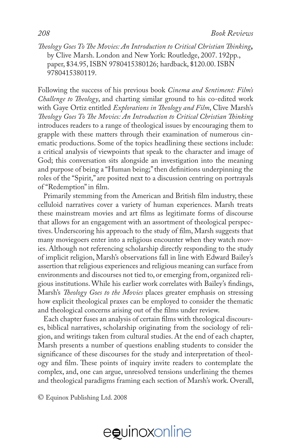*Theology Goes To The Movies: An Introduction to Critical Christian Thinking***,**  by Clive Marsh. London and New York: Routledge, 2007. 192pp., paper, \$34.95, ISBN 9780415380126; hardback, \$120.00. ISBN 9780415380119.

Following the success of his previous book *Cinema and Sentiment: Film's Challenge to Theology*, and charting similar ground to his co-edited work with Gaye Ortiz entitled *Explorations in Theology and Film*, Clive Marsh's *Theology Goes To The Movies: An Introduction to Critical Christian Thinking* introduces readers to a range of theological issues by encouraging them to grapple with these matters through their examination of numerous cinematic productions. Some of the topics headlining these sections include: a critical analysis of viewpoints that speak to the character and image of God; this conversation sits alongside an investigation into the meaning and purpose of being a "Human being;" then definitions underpinning the roles of the "Spirit," are posited next to a discussion centring on portrayals of "Redemption" in film.

Primarily stemming from the American and British film industry, these celluloid narratives cover a variety of human experiences. Marsh treats these mainstream movies and art films as legitimate forms of discourse that allows for an engagement with an assortment of theological perspectives. Underscoring his approach to the study of film, Marsh suggests that many moviegoers enter into a religious encounter when they watch movies. Although not referencing scholarship directly responding to the study of implicit religion, Marsh's observations fall in line with Edward Bailey's assertion that religious experiences and religious meaning can surface from environments and discourses not tied to, or emerging from, organized religious institutions. While his earlier work correlates with Bailey's findings, Marsh's *Theology Goes to the Movies* places greater emphasis on stressing how explicit theological praxes can be employed to consider the thematic and theological concerns arising out of the films under review.

Each chapter fuses an analysis of certain films with theological discourses, biblical narratives, scholarship originating from the sociology of religion, and writings taken from cultural studies. At the end of each chapter, Marsh presents a number of questions enabling students to consider the significance of these discourses for the study and interpretation of theology and film. These points of inquiry invite readers to contemplate the complex, and, one can argue, unresolved tensions underlining the themes and theological paradigms framing each section of Marsh's work. Overall,

© Equinox Publishing Ltd. 2008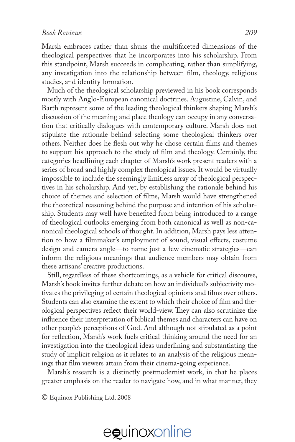Marsh embraces rather than shuns the multifaceted dimensions of the theological perspectives that he incorporates into his scholarship. From this standpoint, Marsh succeeds in complicating, rather than simplifying, any investigation into the relationship between film, theology, religious studies, and identity formation.

Much of the theological scholarship previewed in his book corresponds mostly with Anglo-European canonical doctrines. Augustine, Calvin, and Barth represent some of the leading theological thinkers shaping Marsh's discussion of the meaning and place theology can occupy in any conversation that critically dialogues with contemporary culture. Marsh does not stipulate the rationale behind selecting some theological thinkers over others. Neither does he flesh out why he chose certain films and themes to support his approach to the study of film and theology. Certainly, the categories headlining each chapter of Marsh's work present readers with a series of broad and highly complex theological issues. It would be virtually impossible to include the seemingly limitless array of theological perspectives in his scholarship. And yet, by establishing the rationale behind his choice of themes and selection of films, Marsh would have strengthened the theoretical reasoning behind the purpose and intention of his scholarship. Students may well have benefited from being introduced to a range of theological outlooks emerging from both canonical as well as non-canonical theological schools of thought. In addition, Marsh pays less attention to how a filmmaker's employment of sound, visual effects, costume design and camera angle—to name just a few cinematic strategies—can inform the religious meanings that audience members may obtain from these artisans' creative productions.

Still, regardless of these shortcomings, as a vehicle for critical discourse, Marsh's book invites further debate on how an individual's subjectivity motivates the privileging of certain theological opinions and films over others. Students can also examine the extent to which their choice of film and theological perspectives reflect their world-view. They can also scrutinize the influence their interpretation of biblical themes and characters can have on other people's perceptions of God. And although not stipulated as a point for reflection, Marsh's work fuels critical thinking around the need for an investigation into the theological ideas underlining and substantiating the study of implicit religion as it relates to an analysis of the religious meanings that film viewers attain from their cinema-going experience.

Marsh's research is a distinctly postmodernist work, in that he places greater emphasis on the reader to navigate how, and in what manner, they

© Equinox Publishing Ltd. 2008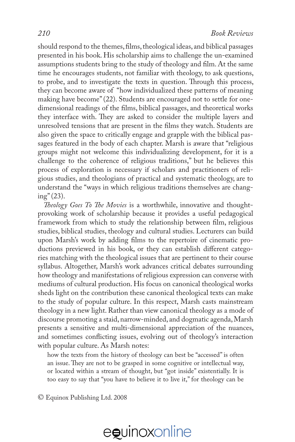should respond to the themes, films, theological ideas, and biblical passages presented in his book. His scholarship aims to challenge the un-examined assumptions students bring to the study of theology and film. At the same time he encourages students, not familiar with theology, to ask questions, to probe, and to investigate the texts in question. Through this process, they can become aware of "how individualized these patterns of meaning making have become" (22). Students are encouraged not to settle for onedimensional readings of the films, biblical passages, and theoretical works they interface with. They are asked to consider the multiple layers and unresolved tensions that are present in the films they watch. Students are also given the space to critically engage and grapple with the biblical passages featured in the body of each chapter. Marsh is aware that "religious groups might not welcome this individualizing development, for it is a challenge to the coherence of religious traditions," but he believes this process of exploration is necessary if scholars and practitioners of religious studies, and theologians of practical and systematic theology, are to understand the "ways in which religious traditions themselves are chang $ing''(23)$ .

*Theology Goes To The Movies* is a worthwhile, innovative and thoughtprovoking work of scholarship because it provides a useful pedagogical framework from which to study the relationship between film, religious studies, biblical studies, theology and cultural studies. Lecturers can build upon Marsh's work by adding films to the repertoire of cinematic productions previewed in his book, or they can establish different categories matching with the theological issues that are pertinent to their course syllabus. Altogether, Marsh's work advances critical debates surrounding how theology and manifestations of religious expression can converse with mediums of cultural production. His focus on canonical theological works sheds light on the contribution these canonical theological texts can make to the study of popular culture. In this respect, Marsh casts mainstream theology in a new light. Rather than view canonical theology as a mode of discourse promoting a staid, narrow-minded, and dogmatic agenda, Marsh presents a sensitive and multi-dimensional appreciation of the nuances, and sometimes conflicting issues, evolving out of theology's interaction with popular culture. As Marsh notes:

how the texts from the history of theology can best be "accessed" is often an issue. They are not to be grasped in some cognitive or intellectual way, or located within a stream of thought, but "got inside" existentially. It is too easy to say that "you have to believe it to live it," for theology can be

© Equinox Publishing Ltd. 2008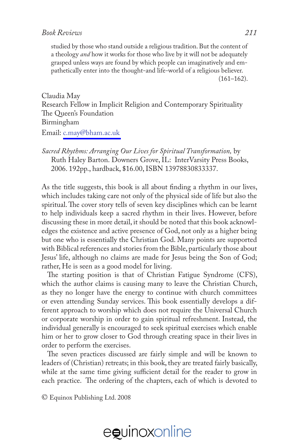studied by those who stand outside a religious tradition. But the content of a theology *and* how it works for those who live by it will not be adequately grasped unless ways are found by which people can imaginatively and empathetically enter into the thought-and life-world of a religious believer.  $(161–162)$ .

Claudia May Research Fellow in Implicit Religion and Contemporary Spirituality The Queen's Foundation Birmingham

Email: [c.may@bham.ac.uk](mailto:c.may@bham.ac.uk)

*Sacred Rhythms: Arranging Our Lives for Spiritual Transformation,* by Ruth Haley Barton. Downers Grove, IL: InterVarsity Press Books, 2006. 192pp., hardback, \$16.00, ISBN 13978830833337.

As the title suggests, this book is all about finding a rhythm in our lives, which includes taking care not only of the physical side of life but also the spiritual. The cover story tells of seven key disciplines which can be learnt to help individuals keep a sacred rhythm in their lives. However, before discussing these in more detail, it should be noted that this book acknowledges the existence and active presence of God, not only as a higher being but one who is essentially the Christian God. Many points are supported with Biblical references and stories from the Bible, particularly those about Jesus' life, although no claims are made for Jesus being the Son of God; rather, He is seen as a good model for living.

The starting position is that of Christian Fatigue Syndrome (CFS), which the author claims is causing many to leave the Christian Church, as they no longer have the energy to continue with church committees or even attending Sunday services. This book essentially develops a different approach to worship which does not require the Universal Church or corporate worship in order to gain spiritual refreshment. Instead, the individual generally is encouraged to seek spiritual exercises which enable him or her to grow closer to God through creating space in their lives in order to perform the exercises.

The seven practices discussed are fairly simple and will be known to leaders of (Christian) retreats; in this book, they are treated fairly basically, while at the same time giving sufficient detail for the reader to grow in each practice. The ordering of the chapters, each of which is devoted to

© Equinox Publishing Ltd. 2008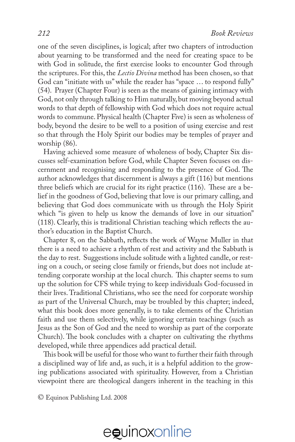one of the seven disciplines, is logical; after two chapters of introduction about yearning to be transformed and the need for creating space to be with God in solitude, the first exercise looks to encounter God through the scriptures. For this, the *Lectio Divina* method has been chosen, so that God can "initiate with us" while the reader has "space … to respond fully" (54). Prayer (Chapter Four) is seen as the means of gaining intimacy with God, not only through talking to Him naturally, but moving beyond actual words to that depth of fellowship with God which does not require actual words to commune. Physical health (Chapter Five) is seen as wholeness of body, beyond the desire to be well to a position of using exercise and rest so that through the Holy Spirit our bodies may be temples of prayer and worship (86).

Having achieved some measure of wholeness of body, Chapter Six discusses self-examination before God, while Chapter Seven focuses on discernment and recognising and responding to the presence of God. The author acknowledges that discernment is always a gift (116) but mentions three beliefs which are crucial for its right practice (116). These are a belief in the goodness of God, believing that love is our primary calling, and believing that God does communicate with us through the Holy Spirit which "is given to help us know the demands of love in our situation" (118). Clearly, this is traditional Christian teaching which reflects the author's education in the Baptist Church.

Chapter 8, on the Sabbath, reflects the work of Wayne Muller in that there is a need to achieve a rhythm of rest and activity and the Sabbath is the day to rest. Suggestions include solitude with a lighted candle, or resting on a couch, or seeing close family or friends, but does not include attending corporate worship at the local church. This chapter seems to sum up the solution for CFS while trying to keep individuals God-focussed in their lives. Traditional Christians, who see the need for corporate worship as part of the Universal Church, may be troubled by this chapter; indeed, what this book does more generally, is to take elements of the Christian faith and use them selectively, while ignoring certain teachings (such as Jesus as the Son of God and the need to worship as part of the corporate Church). The book concludes with a chapter on cultivating the rhythms developed, while three appendices add practical detail.

This book will be useful for those who want to further their faith through a disciplined way of life and, as such, it is a helpful addition to the growing publications associated with spirituality. However, from a Christian viewpoint there are theological dangers inherent in the teaching in this

© Equinox Publishing Ltd. 2008